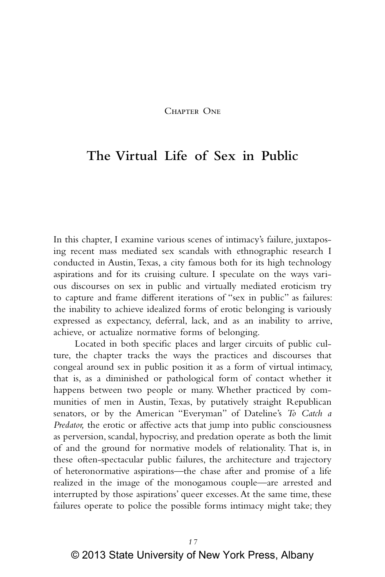### CHAPTER ONE

# **The Virtual Life of Sex in Public**

In this chapter, I examine various scenes of intimacy's failure, juxtapos– ing recent mass mediated sex scandals with ethnographic research I conducted in Austin, Texas, a city famous both for its high technology aspirations and for its cruising culture. I speculate on the ways vari– ous discourses on sex in public and virtually mediated eroticism try to capture and frame different iterations of "sex in public" as failures: the inability to achieve idealized forms of erotic belonging is variously expressed as expectancy, deferral, lack, and as an inability to arrive, achieve, or actualize normative forms of belonging.

Located in both specific places and larger circuits of public culture, the chapter tracks the ways the practices and discourses that congeal around sex in public position it as a form of virtual intimacy, that is, as a diminished or pathological form of contact whether it happens between two people or many. Whether practiced by communities of men in Austin, Texas, by putatively straight Republican senators, or by the American "Everyman" of Dateline's *To Catch a Predator,* the erotic or affective acts that jump into public consciousness as perversion, scandal, hypocrisy, and predation operate as both the limit of and the ground for normative models of relationality. That is, in these often‑spectacular public failures, the architecture and trajectory of heteronormative aspirations—the chase after and promise of a life realized in the image of the monogamous couple—are arrested and interrupted by those aspirations' queer excesses. At the same time, these failures operate to police the possible forms intimacy might take; they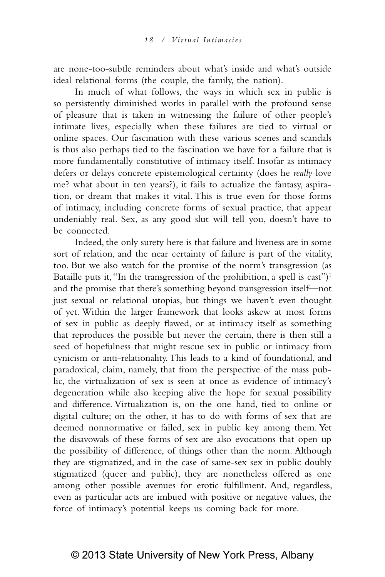are none-too-subtle reminders about what's inside and what's outside ideal relational forms (the couple, the family, the nation).

In much of what follows, the ways in which sex in public is so persistently diminished works in parallel with the profound sense of pleasure that is taken in witnessing the failure of other people's intimate lives, especially when these failures are tied to virtual or online spaces. Our fascination with these various scenes and scandals is thus also perhaps tied to the fascination we have for a failure that is more fundamentally constitutive of intimacy itself. Insofar as intimacy defers or delays concrete epistemological certainty (does he *really* love me? what about in ten years?), it fails to actualize the fantasy, aspiration, or dream that makes it vital. This is true even for those forms of intimacy, including concrete forms of sexual practice, that appear undeniably real. Sex, as any good slut will tell you, doesn't have to be connected.

Indeed, the only surety here is that failure and liveness are in some sort of relation, and the near certainty of failure is part of the vitality, too. But we also watch for the promise of the norm's transgression (as Bataille puts it, "In the transgression of the prohibition, a spell is cast")<sup>1</sup> and the promise that there's something beyond transgression itself—not just sexual or relational utopias, but things we haven't even thought of yet. Within the larger framework that looks askew at most forms of sex in public as deeply flawed, or at intimacy itself as something that reproduces the possible but never the certain, there is then still a seed of hopefulness that might rescue sex in public or intimacy from cynicism or anti‑relationality. This leads to a kind of foundational, and paradoxical, claim, namely, that from the perspective of the mass public, the virtualization of sex is seen at once as evidence of intimacy's degeneration while also keeping alive the hope for sexual possibility and difference. Virtualization is, on the one hand, tied to online or digital culture; on the other, it has to do with forms of sex that are deemed nonnormative or failed, sex in public key among them. Yet the disavowals of these forms of sex are also evocations that open up the possibility of difference, of things other than the norm. Although they are stigmatized, and in the case of same‑sex sex in public doubly stigmatized (queer and public), they are nonetheless offered as one among other possible avenues for erotic fulfillment. And, regardless, even as particular acts are imbued with positive or negative values, the force of intimacy's potential keeps us coming back for more.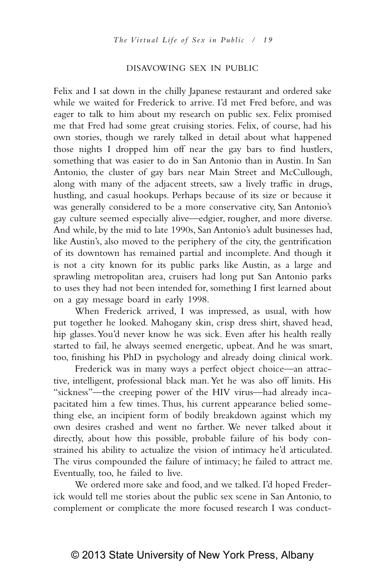### DISAVOWING SEX IN PUBLIC

Felix and I sat down in the chilly Japanese restaurant and ordered sake while we waited for Frederick to arrive. I'd met Fred before, and was eager to talk to him about my research on public sex. Felix promised me that Fred had some great cruising stories. Felix, of course, had his own stories, though we rarely talked in detail about what happened those nights I dropped him off near the gay bars to find hustlers, something that was easier to do in San Antonio than in Austin. In San Antonio, the cluster of gay bars near Main Street and McCullough, along with many of the adjacent streets, saw a lively traffic in drugs, hustling, and casual hookups. Perhaps because of its size or because it was generally considered to be a more conservative city, San Antonio's gay culture seemed especially alive—edgier, rougher, and more diverse. And while, by the mid to late 1990s, San Antonio's adult businesses had, like Austin's, also moved to the periphery of the city, the gentrification of its downtown has remained partial and incomplete. And though it is not a city known for its public parks like Austin, as a large and sprawling metropolitan area, cruisers had long put San Antonio parks to uses they had not been intended for, something I first learned about on a gay message board in early 1998.

When Frederick arrived, I was impressed, as usual, with how put together he looked. Mahogany skin, crisp dress shirt, shaved head, hip glasses. You'd never know he was sick. Even after his health really started to fail, he always seemed energetic, upbeat. And he was smart, too, finishing his PhD in psychology and already doing clinical work.

Frederick was in many ways a perfect object choice—an attractive, intelligent, professional black man. Yet he was also off limits. His "sickness"—the creeping power of the HIV virus—had already incapacitated him a few times. Thus, his current appearance belied something else, an incipient form of bodily breakdown against which my own desires crashed and went no farther. We never talked about it directly, about how this possible, probable failure of his body constrained his ability to actualize the vision of intimacy he'd articulated. The virus compounded the failure of intimacy; he failed to attract me. Eventually, too, he failed to live.

We ordered more sake and food, and we talked. I'd hoped Frederick would tell me stories about the public sex scene in San Antonio, to complement or complicate the more focused research I was conduct-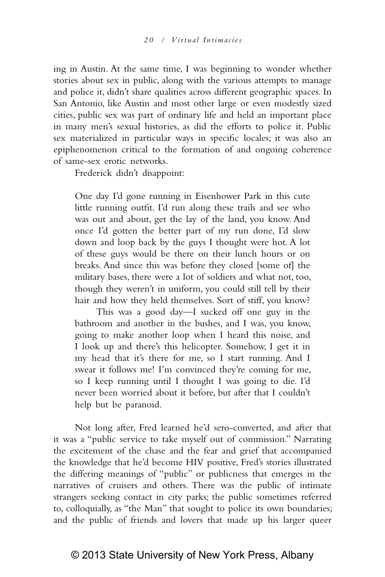ing in Austin. At the same time, I was beginning to wonder whether stories about sex in public, along with the various attempts to manage and police it, didn't share qualities across different geographic spaces. In San Antonio, like Austin and most other large or even modestly sized cities, public sex was part of ordinary life and held an important place in many men's sexual histories, as did the efforts to police it. Public sex materialized in particular ways in specific locales; it was also an epiphenomenon critical to the formation of and ongoing coherence of same‑sex erotic networks.

Frederick didn't disappoint:

One day I'd gone running in Eisenhower Park in this cute little running outfit. I'd run along these trails and see who was out and about, get the lay of the land, you know. And once I'd gotten the better part of my run done, I'd slow down and loop back by the guys I thought were hot. A lot of these guys would be there on their lunch hours or on breaks. And since this was before they closed [some of] the military bases, there were a lot of soldiers and what not, too, though they weren't in uniform, you could still tell by their hair and how they held themselves. Sort of stiff, you know?

This was a good day—I sucked off one guy in the bathroom and another in the bushes, and I was, you know, going to make another loop when I heard this noise, and I look up and there's this helicopter. Somehow, I get it in my head that it's there for me, so I start running. And I swear it follows me! I'm convinced they're coming for me, so I keep running until I thought I was going to die. I'd never been worried about it before, but after that I couldn't help but be paranoid.

Not long after, Fred learned he'd sero-converted, and after that it was a "public service to take myself out of commission." Narrating the excitement of the chase and the fear and grief that accompanied the knowledge that he'd become HIV positive, Fred's stories illustrated the differing meanings of "public" or publicness that emerges in the narratives of cruisers and others. There was the public of intimate strangers seeking contact in city parks; the public sometimes referred to, colloquially, as "the Man" that sought to police its own boundaries; and the public of friends and lovers that made up his larger queer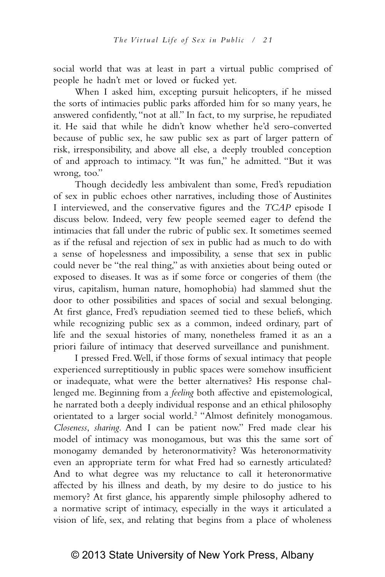social world that was at least in part a virtual public comprised of people he hadn't met or loved or fucked yet.

When I asked him, excepting pursuit helicopters, if he missed the sorts of intimacies public parks afforded him for so many years, he answered confidently, "not at all." In fact, to my surprise, he repudiated it. He said that while he didn't know whether he'd sero-converted because of public sex, he saw public sex as part of larger pattern of risk, irresponsibility, and above all else, a deeply troubled conception of and approach to intimacy. "It was fun," he admitted. "But it was wrong, too."

Though decidedly less ambivalent than some, Fred's repudiation of sex in public echoes other narratives, including those of Austinites I interviewed, and the conservative figures and the *TCAP* episode I discuss below. Indeed, very few people seemed eager to defend the intimacies that fall under the rubric of public sex. It sometimes seemed as if the refusal and rejection of sex in public had as much to do with a sense of hopelessness and impossibility, a sense that sex in public could never be "the real thing," as with anxieties about being outed or exposed to diseases. It was as if some force or congeries of them (the virus, capitalism, human nature, homophobia) had slammed shut the door to other possibilities and spaces of social and sexual belonging. At first glance, Fred's repudiation seemed tied to these beliefs, which while recognizing public sex as a common, indeed ordinary, part of life and the sexual histories of many, nonetheless framed it as an a priori failure of intimacy that deserved surveillance and punishment.

I pressed Fred. Well, if those forms of sexual intimacy that people experienced surreptitiously in public spaces were somehow insufficient or inadequate, what were the better alternatives? His response challenged me. Beginning from a *feeling* both affective and epistemological, he narrated both a deeply individual response and an ethical philosophy orientated to a larger social world.<sup>2</sup> "Almost definitely monogamous. *Closeness*, *sharing*. And I can be patient now." Fred made clear his model of intimacy was monogamous, but was this the same sort of monogamy demanded by heteronormativity? Was heteronormativity even an appropriate term for what Fred had so earnestly articulated? And to what degree was my reluctance to call it heteronormative affected by his illness and death, by my desire to do justice to his memory? At first glance, his apparently simple philosophy adhered to a normative script of intimacy, especially in the ways it articulated a vision of life, sex, and relating that begins from a place of wholeness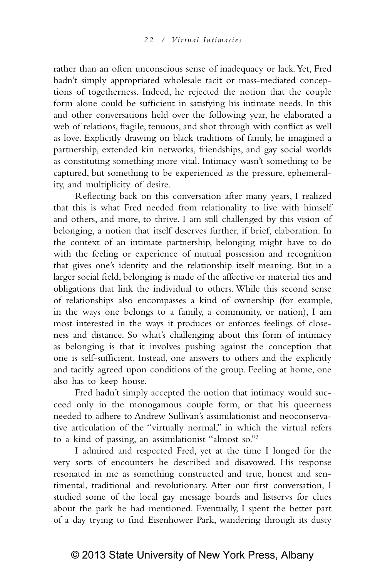rather than an often unconscious sense of inadequacy or lack. Yet, Fred hadn't simply appropriated wholesale tacit or mass-mediated conceptions of togetherness. Indeed, he rejected the notion that the couple form alone could be sufficient in satisfying his intimate needs. In this and other conversations held over the following year, he elaborated a web of relations, fragile, tenuous, and shot through with conflict as well as love. Explicitly drawing on black traditions of family, he imagined a partnership, extended kin networks, friendships, and gay social worlds as constituting something more vital. Intimacy wasn't something to be captured, but something to be experienced as the pressure, ephemeral– ity, and multiplicity of desire.

Reflecting back on this conversation after many years, I realized that this is what Fred needed from relationality to live with himself and others, and more, to thrive. I am still challenged by this vision of belonging, a notion that itself deserves further, if brief, elaboration. In the context of an intimate partnership, belonging might have to do with the feeling or experience of mutual possession and recognition that gives one's identity and the relationship itself meaning. But in a larger social field, belonging is made of the affective or material ties and obligations that link the individual to others. While this second sense of relationships also encompasses a kind of ownership (for example, in the ways one belongs to a family, a community, or nation), I am most interested in the ways it produces or enforces feelings of closeness and distance. So what's challenging about this form of intimacy as belonging is that it involves pushing against the conception that one is self‑sufficient. Instead, one answers to others and the explicitly and tacitly agreed upon conditions of the group. Feeling at home, one also has to keep house.

Fred hadn't simply accepted the notion that intimacy would succeed only in the monogamous couple form, or that his queerness needed to adhere to Andrew Sullivan's assimilationist and neoconservative articulation of the "virtually normal," in which the virtual refers to a kind of passing, an assimilationist "almost so."3

I admired and respected Fred, yet at the time I longed for the very sorts of encounters he described and disavowed. His response resonated in me as something constructed and true, honest and sentimental, traditional and revolutionary. After our first conversation, I studied some of the local gay message boards and listservs for clues about the park he had mentioned. Eventually, I spent the better part of a day trying to find Eisenhower Park, wandering through its dusty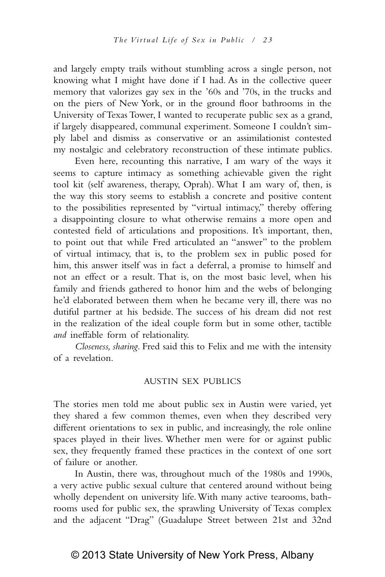and largely empty trails without stumbling across a single person, not knowing what I might have done if I had. As in the collective queer memory that valorizes gay sex in the '60s and '70s, in the trucks and on the piers of New York, or in the ground floor bathrooms in the University of Texas Tower, I wanted to recuperate public sex as a grand, if largely disappeared, communal experiment. Someone I couldn't simply label and dismiss as conservative or an assimilationist contested my nostalgic and celebratory reconstruction of these intimate publics.

Even here, recounting this narrative, I am wary of the ways it seems to capture intimacy as something achievable given the right tool kit (self awareness, therapy, Oprah). What I am wary of, then, is the way this story seems to establish a concrete and positive content to the possibilities represented by "virtual intimacy," thereby offering a disappointing closure to what otherwise remains a more open and contested field of articulations and propositions. It's important, then, to point out that while Fred articulated an "answer" to the problem of virtual intimacy, that is, to the problem sex in public posed for him, this answer itself was in fact a deferral, a promise to himself and not an effect or a result. That is, on the most basic level, when his family and friends gathered to honor him and the webs of belonging he'd elaborated between them when he became very ill, there was no dutiful partner at his bedside. The success of his dream did not rest in the realization of the ideal couple form but in some other, tactible *and* ineffable form of relationality.

*Closeness, sharing*. Fred said this to Felix and me with the intensity of a revelation.

### **AUSTIN SEX PUBLICS**

The stories men told me about public sex in Austin were varied, yet they shared a few common themes, even when they described very different orientations to sex in public, and increasingly, the role online spaces played in their lives. Whether men were for or against public sex, they frequently framed these practices in the context of one sort of failure or another.

In Austin, there was, throughout much of the 1980s and 1990s, a very active public sexual culture that centered around without being wholly dependent on university life. With many active tearooms, bathrooms used for public sex, the sprawling University of Texas complex and the adjacent "Drag" (Guadalupe Street between 21st and 32nd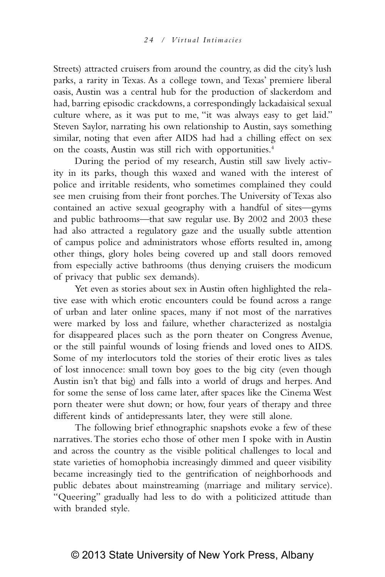Streets) attracted cruisers from around the country, as did the city's lush parks, a rarity in Texas. As a college town, and Texas' premiere liberal oasis, Austin was a central hub for the production of slackerdom and had, barring episodic crackdowns, a correspondingly lackadaisical sexual culture where, as it was put to me, "it was always easy to get laid." Steven Saylor, narrating his own relationship to Austin, says something similar, noting that even after AIDS had had a chilling effect on sex on the coasts, Austin was still rich with opportunities.4

During the period of my research, Austin still saw lively activity in its parks, though this waxed and waned with the interest of police and irritable residents, who sometimes complained they could see men cruising from their front porches. The University of Texas also contained an active sexual geography with a handful of sites—gyms and public bathrooms—that saw regular use. By 2002 and 2003 these had also attracted a regulatory gaze and the usually subtle attention of campus police and administrators whose efforts resulted in, among other things, glory holes being covered up and stall doors removed from especially active bathrooms (thus denying cruisers the modicum of privacy that public sex demands).

Yet even as stories about sex in Austin often highlighted the relative ease with which erotic encounters could be found across a range of urban and later online spaces, many if not most of the narratives were marked by loss and failure, whether characterized as nostalgia for disappeared places such as the porn theater on Congress Avenue, or the still painful wounds of losing friends and loved ones to AIDS. Some of my interlocutors told the stories of their erotic lives as tales of lost innocence: small town boy goes to the big city (even though Austin isn't that big) and falls into a world of drugs and herpes. And for some the sense of loss came later, after spaces like the Cinema West porn theater were shut down; or how, four years of therapy and three different kinds of antidepressants later, they were still alone.

The following brief ethnographic snapshots evoke a few of these narratives. The stories echo those of other men I spoke with in Austin and across the country as the visible political challenges to local and state varieties of homophobia increasingly dimmed and queer visibility became increasingly tied to the gentrification of neighborhoods and public debates about mainstreaming (marriage and military service). "Queering" gradually had less to do with a politicized attitude than with branded style.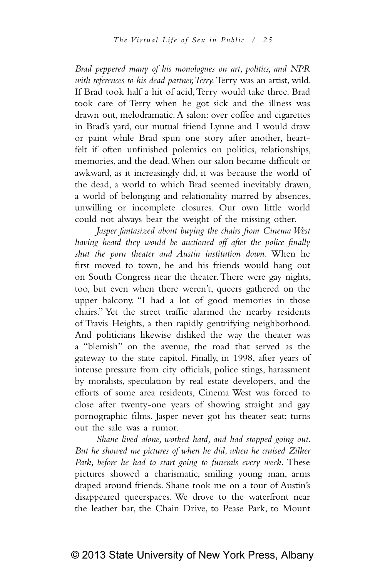*Brad peppered many of his monologues on art, politics, and NPR with references to his dead partner, Terry.* Terry was an artist, wild. If Brad took half a hit of acid, Terry would take three. Brad took care of Terry when he got sick and the illness was drawn out, melodramatic. A salon: over coffee and cigarettes in Brad's yard, our mutual friend Lynne and I would draw or paint while Brad spun one story after another, heartfelt if often unfinished polemics on politics, relationships, memories, and the dead. When our salon became difficult or awkward, as it increasingly did, it was because the world of the dead, a world to which Brad seemed inevitably drawn, a world of belonging and relationality marred by absences, unwilling or incomplete closures. Our own little world could not always bear the weight of the missing other.

*Jasper fantasized about buying the chairs from Cinema West having heard they would be auctioned off after the police finally shut the porn theater and Austin institution down.* When he first moved to town, he and his friends would hang out on South Congress near the theater. There were gay nights, too, but even when there weren't, queers gathered on the upper balcony. "I had a lot of good memories in those chairs." Yet the street traffic alarmed the nearby residents of Travis Heights, a then rapidly gentrifying neighborhood. And politicians likewise disliked the way the theater was a "blemish" on the avenue, the road that served as the gateway to the state capitol. Finally, in 1998, after years of intense pressure from city officials, police stings, harassment by moralists, speculation by real estate developers, and the efforts of some area residents, Cinema West was forced to close after twenty‑one years of showing straight and gay pornographic films. Jasper never got his theater seat; turns out the sale was a rumor.

*Shane lived alone, worked hard, and had stopped going out. But he showed me pictures of when he did, when he cruised Zilker Park, before he had to start going to funerals every week.* These pictures showed a charismatic, smiling young man, arms draped around friends. Shane took me on a tour of Austin's disappeared queerspaces. We drove to the waterfront near the leather bar, the Chain Drive, to Pease Park, to Mount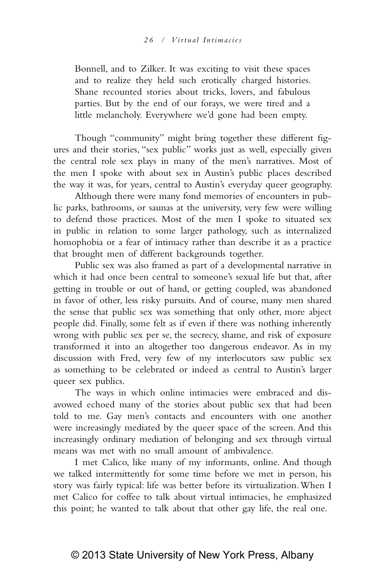Bonnell, and to Zilker. It was exciting to visit these spaces and to realize they held such erotically charged histories. Shane recounted stories about tricks, lovers, and fabulous parties. But by the end of our forays, we were tired and a little melancholy. Everywhere we'd gone had been empty.

Though "community" might bring together these different figures and their stories, "sex public" works just as well, especially given the central role sex plays in many of the men's narratives. Most of the men I spoke with about sex in Austin's public places described the way it was, for years, central to Austin's everyday queer geography.

Although there were many fond memories of encounters in public parks, bathrooms, or saunas at the university, very few were willing to defend those practices. Most of the men I spoke to situated sex in public in relation to some larger pathology, such as internalized homophobia or a fear of intimacy rather than describe it as a practice that brought men of different backgrounds together.

Public sex was also framed as part of a developmental narrative in which it had once been central to someone's sexual life but that, after getting in trouble or out of hand, or getting coupled, was abandoned in favor of other, less risky pursuits. And of course, many men shared the sense that public sex was something that only other, more abject people did. Finally, some felt as if even if there was nothing inherently wrong with public sex per se, the secrecy, shame, and risk of exposure transformed it into an altogether too dangerous endeavor. As in my discussion with Fred, very few of my interlocutors saw public sex as something to be celebrated or indeed as central to Austin's larger queer sex publics.

The ways in which online intimacies were embraced and disavowed echoed many of the stories about public sex that had been told to me. Gay men's contacts and encounters with one another were increasingly mediated by the queer space of the screen. And this increasingly ordinary mediation of belonging and sex through virtual means was met with no small amount of ambivalence.

I met Calico, like many of my informants, online. And though we talked intermittently for some time before we met in person, his story was fairly typical: life was better before its virtualization. When I met Calico for coffee to talk about virtual intimacies, he emphasized this point; he wanted to talk about that other gay life, the real one.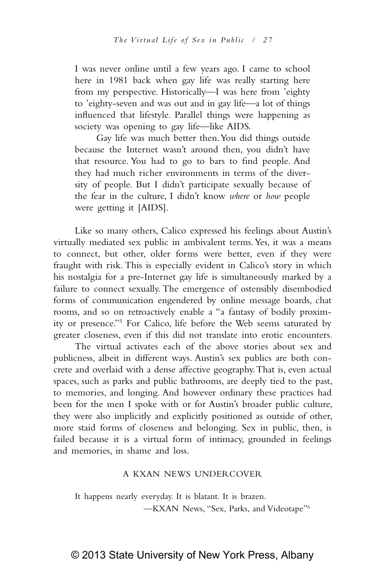I was never online until a few years ago. I came to school here in 1981 back when gay life was really starting here from my perspective. Historically—I was here from 'eighty to 'eighty‑seven and was out and in gay life—a lot of things influenced that lifestyle. Parallel things were happening as society was opening to gay life—like AIDS.

Gay life was much better then. You did things outside because the Internet wasn't around then, you didn't have that resource. You had to go to bars to find people. And they had much richer environments in terms of the diversity of people. But I didn't participate sexually because of the fear in the culture, I didn't know *where* or *how* people were getting it [AIDS].

Like so many others, Calico expressed his feelings about Austin's virtually mediated sex public in ambivalent terms. Yes, it was a means to connect, but other, older forms were better, even if they were fraught with risk. This is especially evident in Calico's story in which his nostalgia for a pre‑Internet gay life is simultaneously marked by a failure to connect sexually. The emergence of ostensibly disembodied forms of communication engendered by online message boards, chat rooms, and so on retroactively enable a "a fantasy of bodily proximity or presence."<sup>5</sup> For Calico, life before the Web seems saturated by greater closeness, even if this did not translate into erotic encounters.

The virtual activates each of the above stories about sex and publicness, albeit in different ways. Austin's sex publics are both concrete and overlaid with a dense affective geography. That is, even actual spaces, such as parks and public bathrooms, are deeply tied to the past, to memories, and longing. And however ordinary these practices had been for the men I spoke with or for Austin's broader public culture, they were also implicitly and explicitly positioned as outside of other, more staid forms of closeness and belonging. Sex in public, then, is failed because it is a virtual form of intimacy, grounded in feelings and memories, in shame and loss.

### A KXAN NEWS UNDERCOVER

It happens nearly everyday. It is blatant. It is brazen.

-KXAN News, "Sex, Parks, and Videotape"<sup>6</sup>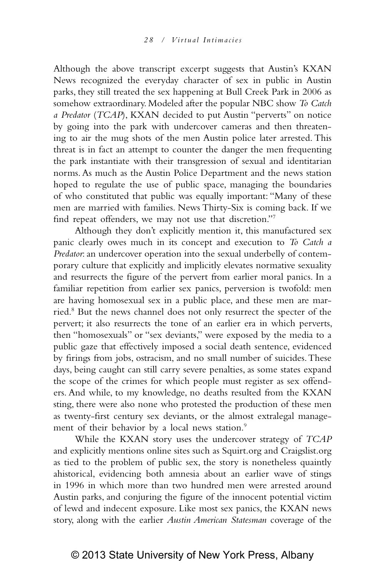Although the above transcript excerpt suggests that Austin's KXAN News recognized the everyday character of sex in public in Austin parks, they still treated the sex happening at Bull Creek Park in 2006 as somehow extraordinary. Modeled after the popular NBC show *To Catch a Predator (TCAP)*, KXAN decided to put Austin "perverts" on notice by going into the park with undercover cameras and then threaten– ing to air the mug shots of the men Austin police later arrested. This threat is in fact an attempt to counter the danger the men frequenting the park instantiate with their transgression of sexual and identitarian norms. As much as the Austin Police Department and the news station hoped to regulate the use of public space, managing the boundaries of who constituted that public was equally important: "Many of these men are married with families. News Thirty-Six is coming back. If we find repeat offenders, we may not use that discretion."7

Although they don't explicitly mention it, this manufactured sex panic clearly owes much in its concept and execution to *To Catch a Predator*: an undercover operation into the sexual underbelly of contemporary culture that explicitly and implicitly elevates normative sexuality and resurrects the figure of the pervert from earlier moral panics. In a familiar repetition from earlier sex panics, perversion is twofold: men are having homosexual sex in a public place, and these men are married.<sup>8</sup> But the news channel does not only resurrect the specter of the pervert; it also resurrects the tone of an earlier era in which perverts, then "homosexuals" or "sex deviants," were exposed by the media to a public gaze that effectively imposed a social death sentence, evidenced by firings from jobs, ostracism, and no small number of suicides. These days, being caught can still carry severe penalties, as some states expand the scope of the crimes for which people must register as sex offenders. And while, to my knowledge, no deaths resulted from the KXAN sting, there were also none who protested the production of these men as twenty-first century sex deviants, or the almost extralegal management of their behavior by a local news station.<sup>9</sup>

While the KXAN story uses the undercover strategy of *TCAP* and explicitly mentions online sites such as Squirt.org and Craigslist.org as tied to the problem of public sex, the story is nonetheless quaintly ahistorical, evidencing both amnesia about an earlier wave of stings in 1996 in which more than two hundred men were arrested around Austin parks, and conjuring the figure of the innocent potential victim of lewd and indecent exposure. Like most sex panics, the KXAN news story, along with the earlier *Austin American Statesman* coverage of the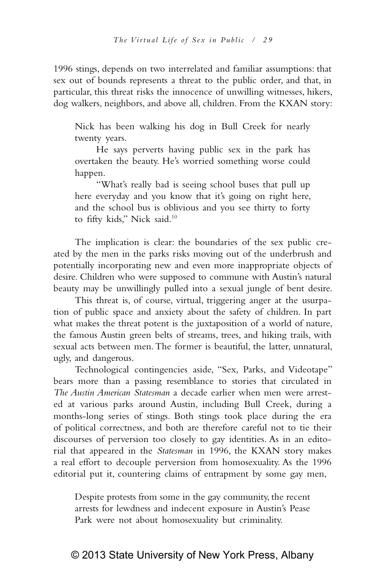1996 stings, depends on two interrelated and familiar assumptions: that sex out of bounds represents a threat to the public order, and that, in particular, this threat risks the innocence of unwilling witnesses, hikers, dog walkers, neighbors, and above all, children. From the KXAN story:

Nick has been walking his dog in Bull Creek for nearly twenty years.

He says perverts having public sex in the park has overtaken the beauty. He's worried something worse could happen.

"What's really bad is seeing school buses that pull up here everyday and you know that it's going on right here, and the school bus is oblivious and you see thirty to forty to fifty kids," Nick said.<sup>10</sup>

The implication is clear: the boundaries of the sex public created by the men in the parks risks moving out of the underbrush and potentially incorporating new and even more inappropriate objects of desire. Children who were supposed to commune with Austin's natural beauty may be unwillingly pulled into a sexual jungle of bent desire.

This threat is, of course, virtual, triggering anger at the usurpation of public space and anxiety about the safety of children. In part what makes the threat potent is the juxtaposition of a world of nature, the famous Austin green belts of streams, trees, and hiking trails, with sexual acts between men. The former is beautiful, the latter, unnatural, ugly, and dangerous.

Technological contingencies aside, "Sex, Parks, and Videotape" bears more than a passing resemblance to stories that circulated in *The Austin American Statesman* a decade earlier when men were arrested at various parks around Austin, including Bull Creek, during a months-long series of stings. Both stings took place during the era of political correctness, and both are therefore careful not to tie their discourses of perversion too closely to gay identities. As in an editorial that appeared in the *Statesman* in 1996, the KXAN story makes a real effort to decouple perversion from homosexuality. As the 1996 editorial put it, countering claims of entrapment by some gay men,

Despite protests from some in the gay community, the recent arrests for lewdness and indecent exposure in Austin's Pease Park were not about homosexuality but criminality.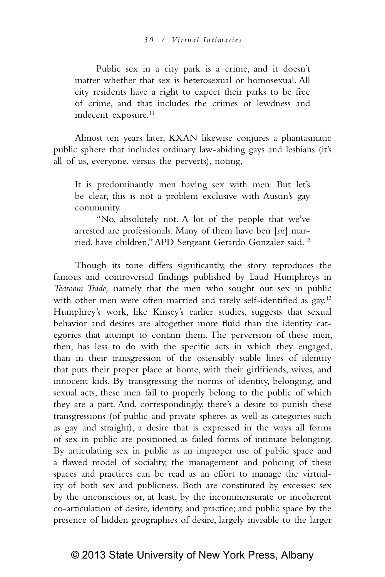Public sex in a city park is a crime, and it doesn't matter whether that sex is heterosexual or homosexual. All city residents have a right to expect their parks to be free of crime, and that includes the crimes of lewdness and indecent exposure.<sup>11</sup>

Almost ten years later, KXAN likewise conjures a phantasmatic public sphere that includes ordinary law-abiding gays and lesbians (it's all of us, everyone, versus the perverts), noting,

It is predominantly men having sex with men. But let's be clear, this is not a problem exclusive with Austin's gay community.

"No, absolutely not. A lot of the people that we've arrested are professionals. Many of them have ben [sic] married, have children," APD Sergeant Gerardo Gonzalez said.<sup>12</sup>

Though its tone differs significantly, the story reproduces the famous and controversial findings published by Laud Humphreys in *Tearoom Trade,* namely that the men who sought out sex in public with other men were often married and rarely self-identified as gay.<sup>13</sup> Humphrey's work, like Kinsey's earlier studies, suggests that sexual behavior and desires are altogether more fluid than the identity categories that attempt to contain them. The perversion of these men, then, has less to do with the specific acts in which they engaged, than in their transgression of the ostensibly stable lines of identity that puts their proper place at home, with their girlfriends, wives, and innocent kids. By transgressing the norms of identity, belonging, and sexual acts, these men fail to properly belong to the public of which they are a part. And, correspondingly, there's a desire to punish these transgressions (of public and private spheres as well as categories such as gay and straight), a desire that is expressed in the ways all forms of sex in public are positioned as failed forms of intimate belonging. By articulating sex in public as an improper use of public space and a flawed model of sociality, the management and policing of these spaces and practices can be read as an effort to manage the virtual– ity of both sex and publicness. Both are constituted by excesses: sex by the unconscious or, at least, by the incommensurate or incoherent co‑articulation of desire, identity, and practice; and public space by the presence of hidden geographies of desire, largely invisible to the larger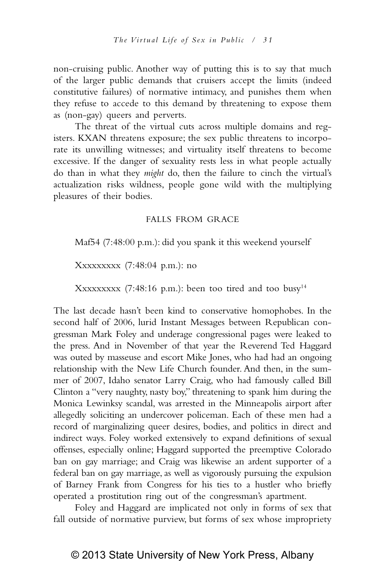non‑cruising public. Another way of putting this is to say that much of the larger public demands that cruisers accept the limits (indeed constitutive failures) of normative intimacy, and punishes them when they refuse to accede to this demand by threatening to expose them as (non‑gay) queers and perverts.

The threat of the virtual cuts across multiple domains and registers. KXAN threatens exposure; the sex public threatens to incorporate its unwilling witnesses; and virtuality itself threatens to become excessive. If the danger of sexuality rests less in what people actually do than in what they *might* do, then the failure to cinch the virtual's actualization risks wildness, people gone wild with the multiplying pleasures of their bodies.

#### FALLS FROM GRACE

Maf54 (7:48:00 p.m.): did you spank it this weekend yourself

xxxxxxxx (7:48:04 p.m.): no

Xxxxxxxxx (7:48:16 p.m.): been too tired and too busy<sup>14</sup>

The last decade hasn't been kind to conservative homophobes. In the second half of 2006, lurid Instant Messages between Republican congressman Mark Foley and underage congressional pages were leaked to the press. And in November of that year the Reverend Ted Haggard was outed by masseuse and escort Mike Jones, who had had an ongoing relationship with the New Life Church founder. And then, in the summer of 2007, Idaho senator Larry Craig, who had famously called Bill Clinton a "very naughty, nasty boy," threatening to spank him during the Monica Lewinksy scandal, was arrested in the Minneapolis airport after allegedly soliciting an undercover policeman. Each of these men had a record of marginalizing queer desires, bodies, and politics in direct and indirect ways. Foley worked extensively to expand definitions of sexual offenses, especially online; Haggard supported the preemptive Colorado ban on gay marriage; and Craig was likewise an ardent supporter of a federal ban on gay marriage, as well as vigorously pursuing the expulsion of Barney Frank from Congress for his ties to a hustler who briefly operated a prostitution ring out of the congressman's apartment.

Foley and Haggard are implicated not only in forms of sex that fall outside of normative purview, but forms of sex whose impropriety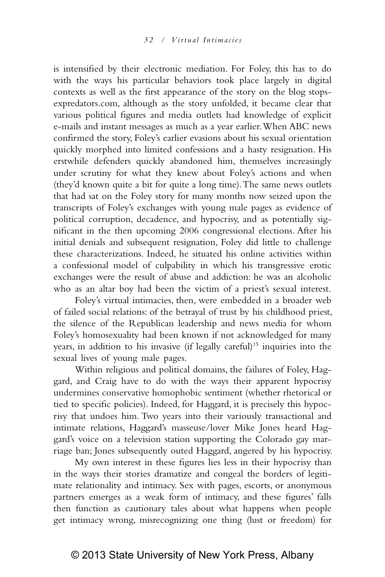is intensified by their electronic mediation. For Foley, this has to do with the ways his particular behaviors took place largely in digital contexts as well as the first appearance of the story on the blog stopsexpredators.com, although as the story unfolded, it became clear that various political figures and media outlets had knowledge of explicit e-mails and instant messages as much as a year earlier. When ABC news confirmed the story, Foley's earlier evasions about his sexual orientation quickly morphed into limited confessions and a hasty resignation. His erstwhile defenders quickly abandoned him, themselves increasingly under scrutiny for what they knew about Foley's actions and when (they'd known quite a bit for quite a long time). The same news outlets that had sat on the Foley story for many months now seized upon the transcripts of Foley's exchanges with young male pages as evidence of political corruption, decadence, and hypocrisy, and as potentially significant in the then upcoming 2006 congressional elections. After his initial denials and subsequent resignation, Foley did little to challenge these characterizations. Indeed, he situated his online activities within a confessional model of culpability in which his transgressive erotic exchanges were the result of abuse and addiction: he was an alcoholic who as an altar boy had been the victim of a priest's sexual interest.

Foley's virtual intimacies, then, were embedded in a broader web of failed social relations: of the betrayal of trust by his childhood priest, the silence of the Republican leadership and news media for whom Foley's homosexuality had been known if not acknowledged for many years, in addition to his invasive (if legally careful)<sup>15</sup> inquiries into the sexual lives of young male pages.

Within religious and political domains, the failures of Foley, Haggard, and Craig have to do with the ways their apparent hypocrisy undermines conservative homophobic sentiment (whether rhetorical or tied to specific policies). Indeed, for Haggard, it is precisely this hypocrisy that undoes him. Two years into their variously transactional and intimate relations, Haggard's masseuse/lover Mike Jones heard Haggard's voice on a television station supporting the Colorado gay marriage ban; Jones subsequently outed Haggard, angered by his hypocrisy.

My own interest in these figures lies less in their hypocrisy than in the ways their stories dramatize and congeal the borders of legitimate relationality and intimacy. Sex with pages, escorts, or anonymous partners emerges as a weak form of intimacy, and these figures' falls then function as cautionary tales about what happens when people get intimacy wrong, misrecognizing one thing (lust or freedom) for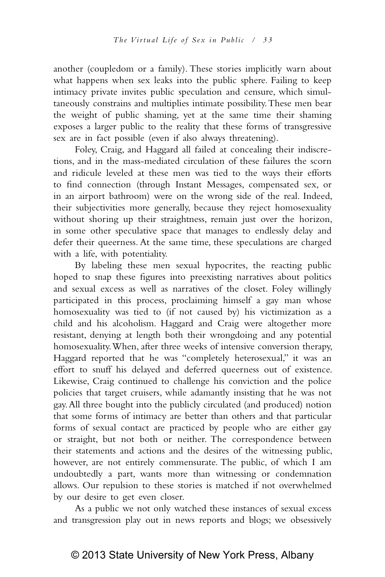another (coupledom or a family). These stories implicitly warn about what happens when sex leaks into the public sphere. Failing to keep intimacy private invites public speculation and censure, which simultaneously constrains and multiplies intimate possibility. These men bear the weight of public shaming, yet at the same time their shaming exposes a larger public to the reality that these forms of transgressive sex are in fact possible (even if also always threatening).

Foley, Craig, and Haggard all failed at concealing their indiscretions, and in the mass‑mediated circulation of these failures the scorn and ridicule leveled at these men was tied to the ways their efforts to find connection (through Instant Messages, compensated sex, or in an airport bathroom) were on the wrong side of the real. Indeed, their subjectivities more generally, because they reject homosexuality without shoring up their straightness, remain just over the horizon, in some other speculative space that manages to endlessly delay and defer their queerness. At the same time, these speculations are charged with a life, with potentiality.

By labeling these men sexual hypocrites, the reacting public hoped to snap these figures into preexisting narratives about politics and sexual excess as well as narratives of the closet. Foley willingly participated in this process, proclaiming himself a gay man whose homosexuality was tied to (if not caused by) his victimization as a child and his alcoholism. Haggard and Craig were altogether more resistant, denying at length both their wrongdoing and any potential homosexuality. When, after three weeks of intensive conversion therapy, Haggard reported that he was "completely heterosexual," it was an effort to snuff his delayed and deferred queerness out of existence. Likewise, Craig continued to challenge his conviction and the police policies that target cruisers, while adamantly insisting that he was not gay. All three bought into the publicly circulated (and produced) notion that some forms of intimacy are better than others and that particular forms of sexual contact are practiced by people who are either gay or straight, but not both or neither. The correspondence between their statements and actions and the desires of the witnessing public, however, are not entirely commensurate. The public, of which I am undoubtedly a part, wants more than witnessing or condemnation allows. Our repulsion to these stories is matched if not overwhelmed by our desire to get even closer.

As a public we not only watched these instances of sexual excess and transgression play out in news reports and blogs; we obsessively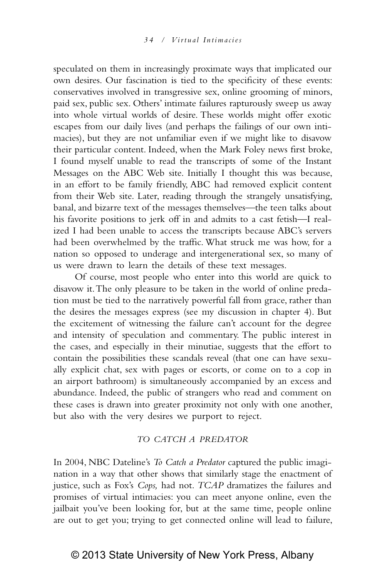speculated on them in increasingly proximate ways that implicated our own desires. Our fascination is tied to the specificity of these events: conservatives involved in transgressive sex, online grooming of minors, paid sex, public sex. Others' intimate failures rapturously sweep us away into whole virtual worlds of desire. These worlds might offer exotic escapes from our daily lives (and perhaps the failings of our own intimacies), but they are not unfamiliar even if we might like to disavow their particular content. Indeed, when the Mark Foley news first broke, I found myself unable to read the transcripts of some of the Instant Messages on the ABC Web site. Initially I thought this was because, in an effort to be family friendly, ABC had removed explicit content from their Web site. Later, reading through the strangely unsatisfying, banal, and bizarre text of the messages themselves—the teen talks about his favorite positions to jerk off in and admits to a cast fetish—I realized I had been unable to access the transcripts because ABC's servers had been overwhelmed by the traffic. What struck me was how, for a nation so opposed to underage and intergenerational sex, so many of us were drawn to learn the details of these text messages.

Of course, most people who enter into this world are quick to disavow it. The only pleasure to be taken in the world of online predation must be tied to the narratively powerful fall from grace, rather than the desires the messages express (see my discussion in chapter 4). But the excitement of witnessing the failure can't account for the degree and intensity of speculation and commentary. The public interest in the cases, and especially in their minutiae, suggests that the effort to contain the possibilities these scandals reveal (that one can have sexually explicit chat, sex with pages or escorts, or come on to a cop in an airport bathroom) is simultaneously accompanied by an excess and abundance. Indeed, the public of strangers who read and comment on these cases is drawn into greater proximity not only with one another, but also with the very desires we purport to reject.

### $TO$  *CATCH A PREDATOR*

In 2004, NBC Dateline's *To Catch a Predator* captured the public imagination in a way that other shows that similarly stage the enactment of justice, such as Fox's *Cops,* had not. *TCAP* dramatizes the failures and promises of virtual intimacies: you can meet anyone online, even the jailbait you've been looking for, but at the same time, people online are out to get you; trying to get connected online will lead to failure,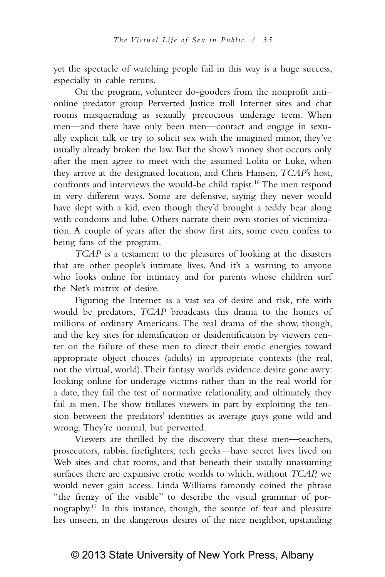yet the spectacle of watching people fail in this way is a huge success, especially in cable reruns.

On the program, volunteer do‑gooders from the nonprofit anti– online predator group Perverted Justice troll Internet sites and chat rooms masquerading as sexually precocious underage teens. When men—and there have only been men—contact and engage in sexually explicit talk or try to solicit sex with the imagined minor, they've usually already broken the law. But the show's money shot occurs only after the men agree to meet with the assumed Lolita or Luke, when they arrive at the designated location, and Chris Hansen, *TCAP*'s host, confronts and interviews the would-be child rapist.<sup>16</sup> The men respond in very different ways. Some are defensive, saying they never would have slept with a kid, even though they'd brought a teddy bear along with condoms and lube. Others narrate their own stories of victimization. A couple of years after the show first airs, some even confess to being fans of the program.

*TCAP* is a testament to the pleasures of looking at the disasters that are other people's intimate lives. And it's a warning to anyone who looks online for intimacy and for parents whose children surf the Net's matrix of desire.

Figuring the Internet as a vast sea of desire and risk, rife with would be predators, *TCAP* broadcasts this drama to the homes of millions of ordinary Americans. The real drama of the show, though, and the key sites for identification or disidentification by viewers center on the failure of these men to direct their erotic energies toward appropriate object choices (adults) in appropriate contexts (the real, not the virtual, world). Their fantasy worlds evidence desire gone awry: looking online for underage victims rather than in the real world for a date, they fail the test of normative relationality, and ultimately they fail as men. The show titillates viewers in part by exploiting the tension between the predators' identities as average guys gone wild and wrong. They're normal, but perverted.

Viewers are thrilled by the discovery that these men—teachers, prosecutors, rabbis, firefighters, tech geeks—have secret lives lived on Web sites and chat rooms, and that beneath their usually unassuming surfaces there are expansive erotic worlds to which, without *TCAP,* we would never gain access. Linda Williams famously coined the phrase "the frenzy of the visible" to describe the visual grammar of pornography.17 In this instance, though, the source of fear and pleasure lies unseen, in the dangerous desires of the nice neighbor, upstanding